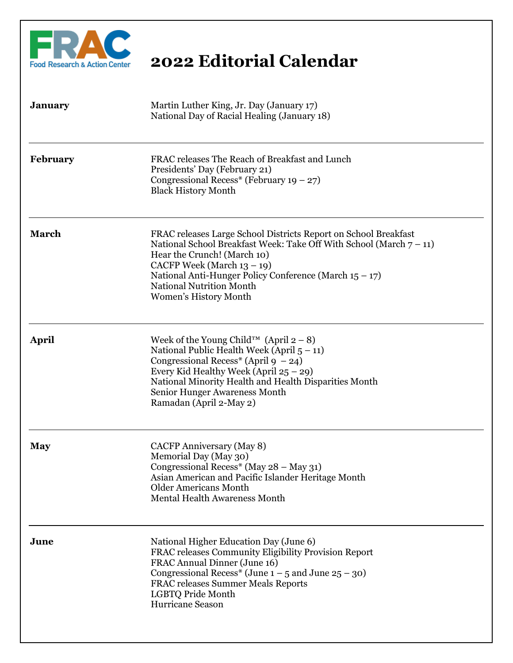

| <b>January</b>  | Martin Luther King, Jr. Day (January 17)<br>National Day of Racial Healing (January 18)                                                                                                                                                                                                                                         |
|-----------------|---------------------------------------------------------------------------------------------------------------------------------------------------------------------------------------------------------------------------------------------------------------------------------------------------------------------------------|
| <b>February</b> | FRAC releases The Reach of Breakfast and Lunch<br>Presidents' Day (February 21)<br>Congressional Recess* (February 19 – 27)<br><b>Black History Month</b>                                                                                                                                                                       |
| <b>March</b>    | FRAC releases Large School Districts Report on School Breakfast<br>National School Breakfast Week: Take Off With School (March $7 - 11$ )<br>Hear the Crunch! (March 10)<br>CACFP Week (March 13 - 19)<br>National Anti-Hunger Policy Conference (March $15 - 17$ )<br><b>National Nutrition Month</b><br>Women's History Month |
| April           | Week of the Young Child <sup>TM</sup> (April $2-8$ )<br>National Public Health Week (April $5 - 11$ )<br>Congressional Recess <sup>*</sup> (April 9 – 24)<br>Every Kid Healthy Week (April $25 - 29$ )<br>National Minority Health and Health Disparities Month<br>Senior Hunger Awareness Month<br>Ramadan (April 2-May 2)     |
| <b>May</b>      | CACFP Anniversary (May 8)<br>Memorial Day (May 30)<br>Congressional Recess* (May 28 - May 31)<br>Asian American and Pacific Islander Heritage Month<br><b>Older Americans Month</b><br><b>Mental Health Awareness Month</b>                                                                                                     |
| June            | National Higher Education Day (June 6)<br>FRAC releases Community Eligibility Provision Report<br>FRAC Annual Dinner (June 16)<br>Congressional Recess* (June $1 - 5$ and June $25 - 30$ )<br><b>FRAC releases Summer Meals Reports</b><br>LGBTQ Pride Month<br>Hurricane Season                                                |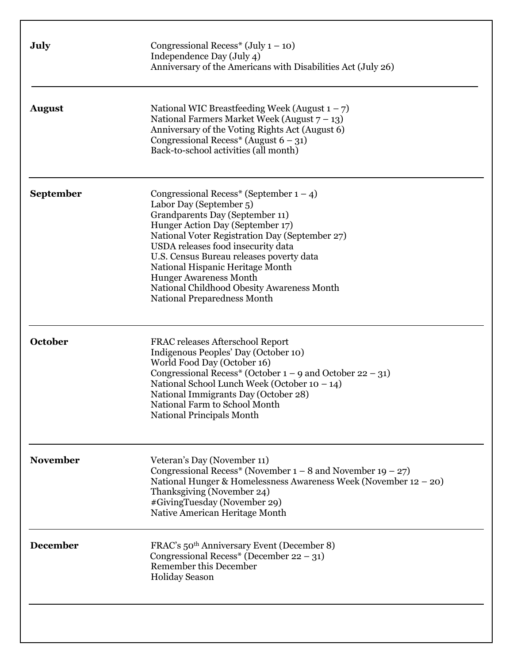| July             | Congressional Recess <sup>*</sup> (July $1 - 10$ )<br>Independence Day (July 4)<br>Anniversary of the Americans with Disabilities Act (July 26)                                                                                                                                                                                                                                                                                           |
|------------------|-------------------------------------------------------------------------------------------------------------------------------------------------------------------------------------------------------------------------------------------------------------------------------------------------------------------------------------------------------------------------------------------------------------------------------------------|
| <b>August</b>    | National WIC Breastfeeding Week (August $1 - 7$ )<br>National Farmers Market Week (August $7 - 13$ )<br>Anniversary of the Voting Rights Act (August 6)<br>Congressional Recess <sup>*</sup> (August $6 - 31$ )<br>Back-to-school activities (all month)                                                                                                                                                                                  |
| <b>September</b> | Congressional Recess* (September $1 - 4$ )<br>Labor Day (September 5)<br>Grandparents Day (September 11)<br>Hunger Action Day (September 17)<br>National Voter Registration Day (September 27)<br>USDA releases food insecurity data<br>U.S. Census Bureau releases poverty data<br>National Hispanic Heritage Month<br><b>Hunger Awareness Month</b><br>National Childhood Obesity Awareness Month<br><b>National Preparedness Month</b> |
| October          | <b>FRAC releases Afterschool Report</b><br>Indigenous Peoples' Day (October 10)<br>World Food Day (October 16)<br>Congressional Recess* (October $1 - 9$ and October $22 - 31$ )<br>National School Lunch Week (October 10 - 14)<br>National Immigrants Day (October 28)<br>National Farm to School Month<br>National Principals Month                                                                                                    |
| <b>November</b>  | Veteran's Day (November 11)<br>Congressional Recess* (November $1 - 8$ and November 19 – 27)<br>National Hunger & Homelessness Awareness Week (November 12 - 20)<br>Thanksgiving (November 24)<br>#GivingTuesday (November 29)<br>Native American Heritage Month                                                                                                                                                                          |
| <b>December</b>  | FRAC's 50 <sup>th</sup> Anniversary Event (December 8)<br>Congressional Recess* (December 22 – 31)<br>Remember this December<br><b>Holiday Season</b>                                                                                                                                                                                                                                                                                     |